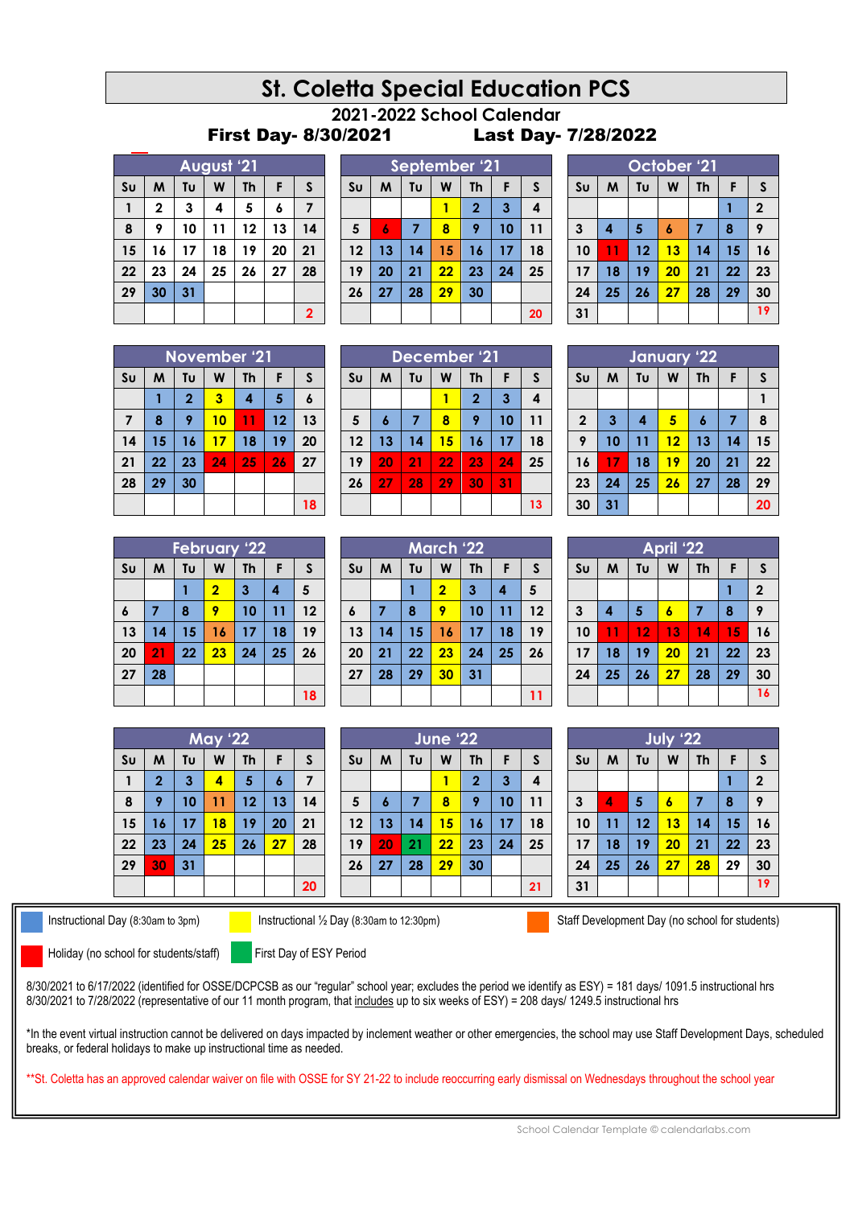# **St. Coletta Special Education PCS**

#### **2021-2022 School Calendar** First Day- 8/30/2021 Last Day- 7/28/2022

|                | August '21  |    |    |           |    |                |  |  |  |  |
|----------------|-------------|----|----|-----------|----|----------------|--|--|--|--|
| S <sub>U</sub> | M           | Tυ | W  | <b>Th</b> | F  | S              |  |  |  |  |
| 1              | $\mathbf 2$ | 3  | 4  | 5         | 6  | 7              |  |  |  |  |
| 8              | 9           | 10 | 11 | 12        | 13 | 14             |  |  |  |  |
| 15             | 16          | 17 | 18 | 19        | 20 | 21             |  |  |  |  |
| 22             | 23          | 24 | 25 | 26        | 27 | 28             |  |  |  |  |
| 29             | 30          | 31 |    |           |    |                |  |  |  |  |
|                |             |    |    |           |    | $\overline{2}$ |  |  |  |  |

|                | September '21 |    |    |                |    |    |  |
|----------------|---------------|----|----|----------------|----|----|--|
| S <sub>U</sub> | M             | Tυ | W  | <b>Th</b>      | F  | S  |  |
|                |               |    |    | $\overline{2}$ | 3  | 4  |  |
| 5              | 6             | 7  | 8  | 9              | 10 | 11 |  |
| 12             | 13            | 14 | 15 | 16             | 17 | 18 |  |
| 19             | 20            | 21 | 22 | 23             | 24 | 25 |  |
| 26             | 27            | 28 | 29 | 30             |    |    |  |
|                |               |    |    |                |    | 20 |  |

| October '21    |                                         |    |    |    |    |             |  |  |  |
|----------------|-----------------------------------------|----|----|----|----|-------------|--|--|--|
| S <sub>U</sub> | Tu<br>$\mathsf{s}$<br>M<br>W<br>Th<br>F |    |    |    |    |             |  |  |  |
|                |                                         |    |    |    |    | $\mathbf 2$ |  |  |  |
| 3              | 4                                       | 5  | 6  | 7  | 8  | 9           |  |  |  |
| 10             | 11                                      | 12 | 13 | 14 | 15 | 16          |  |  |  |
| 17             | 18                                      | 19 | 20 | 21 | 22 | 23          |  |  |  |
| 24             | 25                                      | 26 | 27 | 28 | 29 | 30          |  |  |  |
| 31             |                                         |    |    |    |    | 19          |  |  |  |

| <b>November '21</b> |    |                |    |                         |    |    |  |  |  |
|---------------------|----|----------------|----|-------------------------|----|----|--|--|--|
| S <sub>U</sub>      | M  | Tυ             | W  | <b>Th</b>               | F  | S  |  |  |  |
|                     |    | $\overline{2}$ | 3  | $\overline{\mathbf{A}}$ | 5  | 6  |  |  |  |
| 7                   | 8  | 9              | 10 | 11                      | 12 | 13 |  |  |  |
| 14                  | 15 | 16             | 17 | 18                      | 19 | 20 |  |  |  |
| 21                  | 22 | 23             | 24 | 25                      | 26 | 27 |  |  |  |
| 28                  | 29 | 30             |    |                         |    |    |  |  |  |
|                     |    |                |    |                         |    | 18 |  |  |  |

|                | December '21 |    |    |                |    |    |  |  |  |
|----------------|--------------|----|----|----------------|----|----|--|--|--|
| S <sub>U</sub> | M            | Tυ | W  | Th             | F  | S  |  |  |  |
|                |              |    |    | $\overline{2}$ | 3  | 4  |  |  |  |
| 5              | 6            | 7  | 8  | 9              | 10 | 11 |  |  |  |
| 12             | 13           | 14 | 15 | 16             | 17 | 18 |  |  |  |
| 19             | 20           | 21 | 22 | 23             | 24 | 25 |  |  |  |
| 26             | 27           | 28 | 29 | 30             | 31 |    |  |  |  |
|                |              |    |    |                |    | 13 |  |  |  |

|                                                       | January 22 |                         |    |                  |    |    |  |  |  |  |
|-------------------------------------------------------|------------|-------------------------|----|------------------|----|----|--|--|--|--|
| F<br>Tυ<br>M<br>S <sub>U</sub><br>W<br><b>Th</b><br>S |            |                         |    |                  |    |    |  |  |  |  |
|                                                       |            |                         |    |                  |    |    |  |  |  |  |
| $\overline{\mathbf{2}}$                               | 3          | $\overline{\mathbf{4}}$ | 5  | $\boldsymbol{6}$ | 7  | 8  |  |  |  |  |
| 9                                                     | 10         | 11                      | 12 | 13               | 14 | 15 |  |  |  |  |
| 16                                                    | 17         | 18                      | 19 | 20               | 21 | 22 |  |  |  |  |
| 23                                                    | 24         | 25                      | 26 | 27               | 28 | 29 |  |  |  |  |
| 30                                                    | 31         |                         |    |                  |    | 20 |  |  |  |  |

**April '22**  $\text{SU}$   $\mid$  **M**  $\mid$  **Tu**  $\mid$  **W**  $\mid$  **Th**  $\mid$  **F**  $\mid$  **S** 

 **4 5 6 7 8 9 11 12 13 14 15 16 18 19 20 21 22 23 25 26 27 28 29 30**

**July '22 Su M Tu W Th F S**

 **4 5 6 7 8 9 11 12 13 14 15 16 18 19 20 21 22 23 25 26 27 28 29 30 19**

**2**

**2**

| <b>February '22</b> |    |    |                |           |    |    |  |  |
|---------------------|----|----|----------------|-----------|----|----|--|--|
| S <sub>U</sub>      | M  | Tυ | W              | <b>Th</b> | F  | S  |  |  |
|                     |    |    | $\overline{2}$ | 3         | 4  | 5  |  |  |
| $\boldsymbol{6}$    | 7  | 8  | 9              | 10        | 11 | 12 |  |  |
| 13                  | 14 | 15 | 16             | 17        | 18 | 19 |  |  |
| 20                  | 21 | 22 | 23             | 24        | 25 | 26 |  |  |
| 27                  | 28 |    |                |           |    |    |  |  |
|                     |    |    |                |           |    | 18 |  |  |

|                  | <b>March '22</b> |    |                |           |    |    |  |  |  |
|------------------|------------------|----|----------------|-----------|----|----|--|--|--|
| S <sub>U</sub>   | M                | Tυ | W              | <b>Th</b> | F  | S  |  |  |  |
|                  |                  |    | $\overline{2}$ | 3         | 4  | 5  |  |  |  |
| $\boldsymbol{6}$ | 7                | 8  | 9              | 10        | 11 | 12 |  |  |  |
| 13               | 14               | 15 | 16             | 17        | 18 | 19 |  |  |  |
| 20               | 21               | 22 | 23             | 24        | 25 | 26 |  |  |  |
| 27               | 28               | 29 | 30             | 31        |    |    |  |  |  |
|                  |                  |    |                |           |    | 11 |  |  |  |

|                |              |    | <b>May '22</b> |           |                  |    |
|----------------|--------------|----|----------------|-----------|------------------|----|
| S <sub>U</sub> | M            | Tυ | W              | <b>Th</b> | F                | S  |
| 1              | $\mathbf{2}$ | 3  | 4              | 5         | $\boldsymbol{6}$ | 7  |
| 8              | 9            | 10 | 11             | 12        | 13               | 14 |
| 15             | 16           | 17 | 18             | 19        | 20               | 21 |
| 22             | 23           | 24 | 25             | 26        | 27               | 28 |
| 29             | 30           | 31 |                |           |                  |    |
|                |              |    |                |           |                  | 20 |

| S <sub>U</sub> | М  | Tυ | W  | <b>Th</b>               | F  | S  |
|----------------|----|----|----|-------------------------|----|----|
|                |    |    |    | $\overline{\mathbf{2}}$ | 3  | 4  |
| 5              | 6  |    | 8  | 9                       | 10 | 11 |
| 12             | 13 | 14 | 15 | 16                      | 17 | 18 |
| 19             | 20 | 21 | 22 | 23                      | 24 | 25 |
| 26             | 27 | 28 | 29 | 30                      |    |    |
|                |    |    |    |                         |    | 21 |

**June '22**

Instructional Day (8:30am to 3pm) Instructional 1/2 Day (8:30am to 12:30pm) Staff Development Day (no school for students)

Holiday (no school for students/staff) First Day of ESY Period

8/30/2021 to 6/17/2022 (identified for OSSE/DCPCSB as our "regular" school year; excludes the period we identify as ESY) = 181 days/ 1091.5 instructional hrs 8/30/2021 to 7/28/2022 (representative of our 11 month program, that includes up to six weeks of ESY) = 208 days/ 1249.5 instructional hrs

\*In the event virtual instruction cannot be delivered on days impacted by inclement weather or other emergencies, the school may use Staff Development Days, scheduled breaks, or federal holidays to make up instructional time as needed.

\*\*St. Coletta has an approved calendar waiver on file with OSSE for SY 21-22 to include reoccurring early dismissal on Wednesdays throughout the school year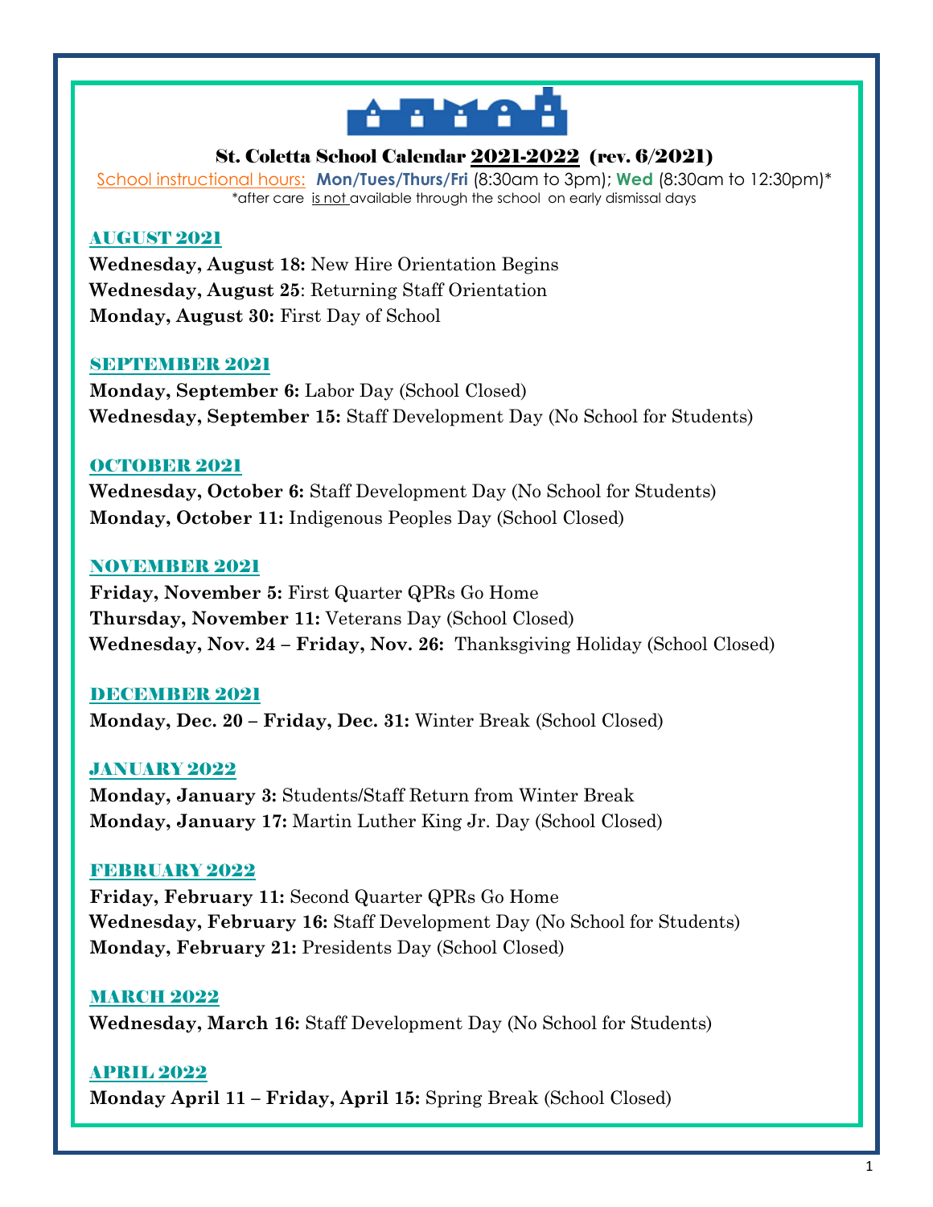

# St. Coletta School Calendar 2021-2022 (rev. 6/2021)

School instructional hours: **Mon/Tues/Thurs/Fri** (8:30am to 3pm); **Wed** (8:30am to 12:30pm)\* \*after care is not available through the school on early dismissal days

# AUGUST 2021

**Wednesday, August 18:** New Hire Orientation Begins **Wednesday, August 25**: Returning Staff Orientation **Monday, August 30:** First Day of School

#### **SEPTEMBER 2021**

**Monday, September 6:** Labor Day (School Closed) **Wednesday, September 15:** Staff Development Day (No School for Students)

# OCTOBER 2021

**Wednesday, October 6:** Staff Development Day (No School for Students) **Monday, October 11:** Indigenous Peoples Day (School Closed)

# NOVEMBER 2021

**Friday, November 5:** First Quarter QPRs Go Home **Thursday, November 11:** Veterans Day (School Closed) **Wednesday, Nov. 24 – Friday, Nov. 26:** Thanksgiving Holiday (School Closed)

# DECEMBER 2021

**Monday, Dec. 20 – Friday, Dec. 31:** Winter Break (School Closed)

# JANUARY 2022

**Monday, January 3:** Students/Staff Return from Winter Break **Monday, January 17:** Martin Luther King Jr. Day (School Closed)

#### FEBRUARY 2022

**Friday, February 11:** Second Quarter QPRs Go Home **Wednesday, February 16:** Staff Development Day (No School for Students) **Monday, February 21:** Presidents Day (School Closed)

# **MARCH 2022**

**Wednesday, March 16:** Staff Development Day (No School for Students)

# APRIL 2022

**Monday April 11 – Friday, April 15:** Spring Break (School Closed)